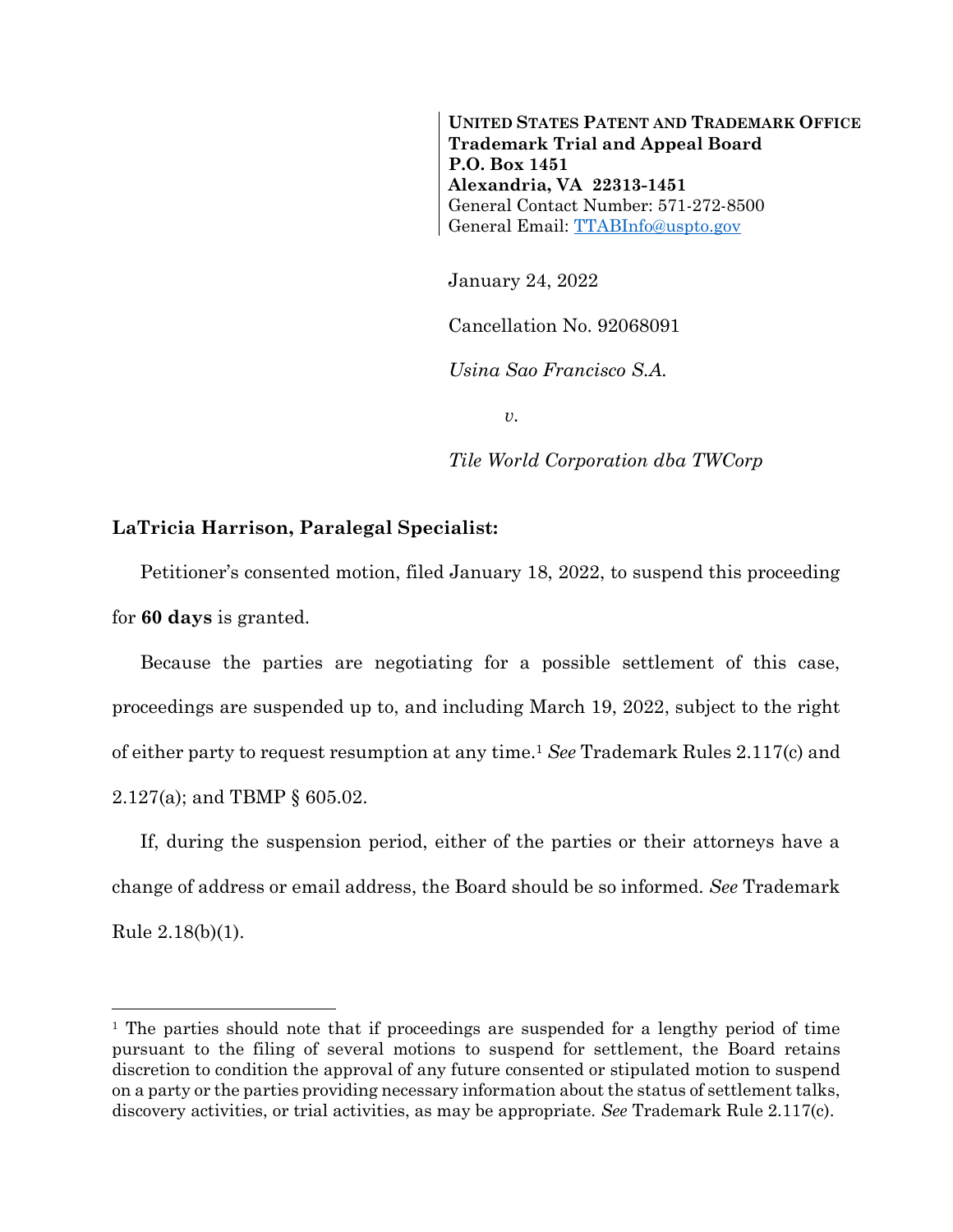**UNITED STATES PATENT AND TRADEMARK OFFICE Trademark Trial and Appeal Board P.O. Box 1451 Alexandria, VA 22313-1451** General Contact Number: 571-272-8500 General Email: [TTABInfo@uspto.gov](mailto:TTABInfo@uspto.gov)

January 24, 2022

Cancellation No. 92068091

*Usina Sao Francisco S.A.*

*v.*

*Tile World Corporation dba TWCorp*

## **LaTricia Harrison, Paralegal Specialist:**

 $\overline{a}$ 

Petitioner's consented motion, filed January 18, 2022, to suspend this proceeding for **60 days** is granted.

Because the parties are negotiating for a possible settlement of this case, proceedings are suspended up to, and including March 19, 2022, subject to the right of either party to request resumption at any time. <sup>1</sup> *See* Trademark Rules 2.117(c) and 2.127(a); and TBMP § 605.02.

If, during the suspension period, either of the parties or their attorneys have a change of address or email address, the Board should be so informed. *See* Trademark Rule 2.18(b)(1).

<sup>&</sup>lt;sup>1</sup> The parties should note that if proceedings are suspended for a lengthy period of time pursuant to the filing of several motions to suspend for settlement, the Board retains discretion to condition the approval of any future consented or stipulated motion to suspend on a party or the parties providing necessary information about the status of settlement talks, discovery activities, or trial activities, as may be appropriate. *See* Trademark Rule 2.117(c).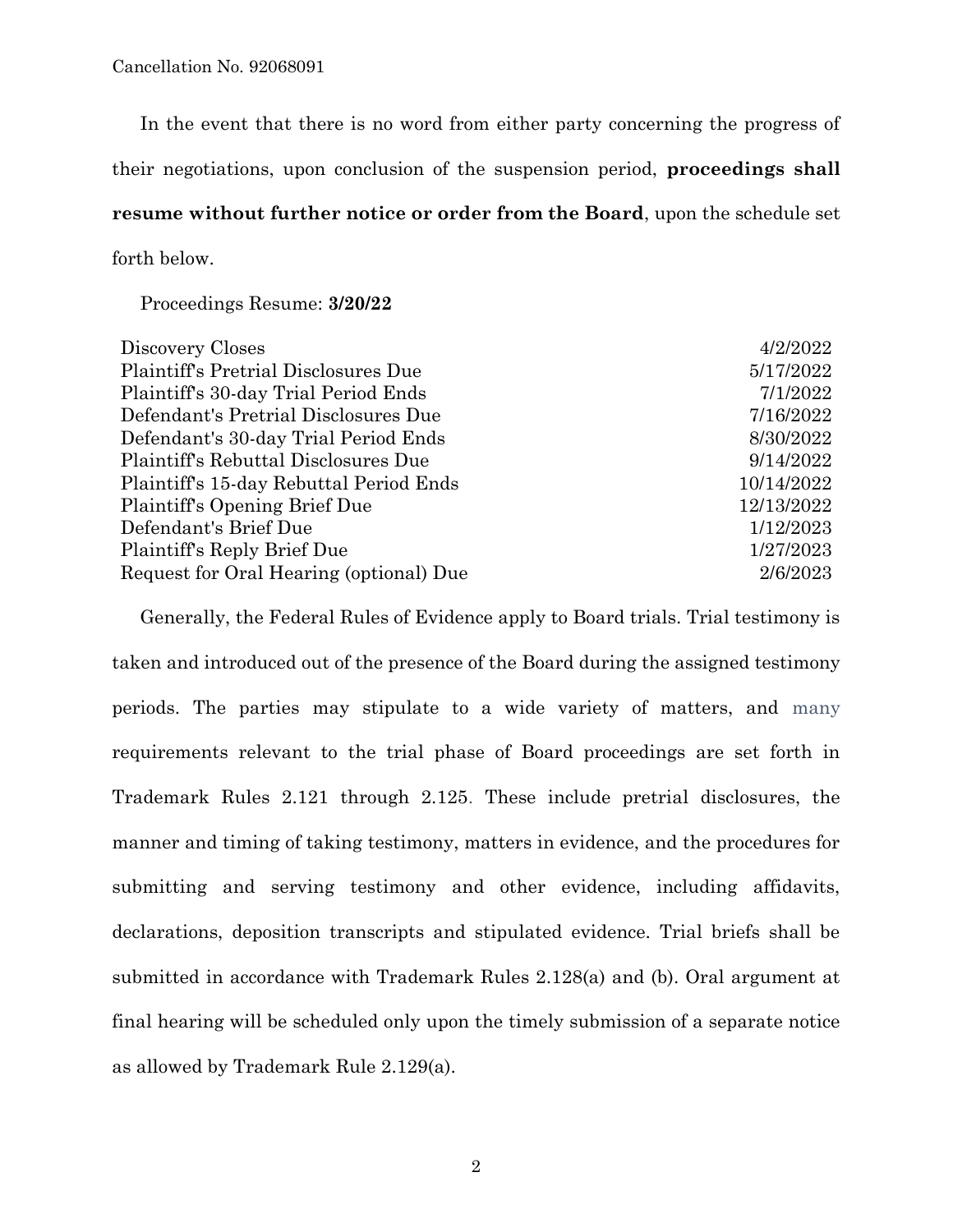In the event that there is no word from either party concerning the progress of their negotiations, upon conclusion of the suspension period, **proceedings shall resume without further notice or order from the Board**, upon the schedule set forth below.

Proceedings Resume: **3/20/22**

| Discovery Closes                        | 4/2/2022   |
|-----------------------------------------|------------|
| Plaintiff's Pretrial Disclosures Due    | 5/17/2022  |
| Plaintiff's 30-day Trial Period Ends    | 7/1/2022   |
| Defendant's Pretrial Disclosures Due    | 7/16/2022  |
| Defendant's 30-day Trial Period Ends    | 8/30/2022  |
| Plaintiff's Rebuttal Disclosures Due    | 9/14/2022  |
| Plaintiff's 15-day Rebuttal Period Ends | 10/14/2022 |
| Plaintiff's Opening Brief Due           | 12/13/2022 |
| Defendant's Brief Due                   | 1/12/2023  |
| Plaintiff's Reply Brief Due             | 1/27/2023  |
| Request for Oral Hearing (optional) Due | 2/6/2023   |

Generally, the Federal Rules of Evidence apply to Board trials. Trial testimony is taken and introduced out of the presence of the Board during the assigned testimony periods. The parties may stipulate to a wide variety of matters, and many requirements relevant to the trial phase of Board proceedings are set forth in Trademark Rules 2.121 through 2.125. These include pretrial disclosures, the manner and timing of taking testimony, matters in evidence, and the procedures for submitting and serving testimony and other evidence, including affidavits, declarations, deposition transcripts and stipulated evidence. Trial briefs shall be submitted in accordance with Trademark Rules 2.128(a) and (b). Oral argument at final hearing will be scheduled only upon the timely submission of a separate notice as allowed by Trademark Rule 2.129(a).